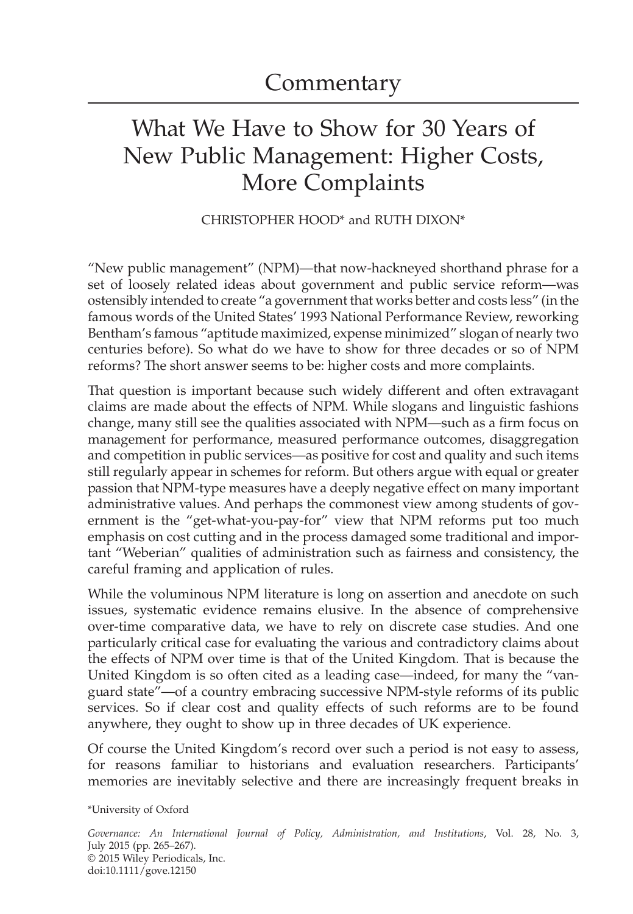## What We Have to Show for 30 Years of New Public Management: Higher Costs, More Complaints

## CHRISTOPHER HOOD\* and RUTH DIXON\*

"New public management" (NPM)—that now-hackneyed shorthand phrase for a set of loosely related ideas about government and public service reform—was ostensibly intended to create "a government that works better and costs less" (in the famous words of the United States' 1993 National Performance Review, reworking Bentham's famous "aptitude maximized, expense minimized" slogan of nearly two centuries before). So what do we have to show for three decades or so of NPM reforms? The short answer seems to be: higher costs and more complaints.

That question is important because such widely different and often extravagant claims are made about the effects of NPM. While slogans and linguistic fashions change, many still see the qualities associated with NPM—such as a firm focus on management for performance, measured performance outcomes, disaggregation and competition in public services—as positive for cost and quality and such items still regularly appear in schemes for reform. But others argue with equal or greater passion that NPM-type measures have a deeply negative effect on many important administrative values. And perhaps the commonest view among students of government is the "get-what-you-pay-for" view that NPM reforms put too much emphasis on cost cutting and in the process damaged some traditional and important "Weberian" qualities of administration such as fairness and consistency, the careful framing and application of rules.

While the voluminous NPM literature is long on assertion and anecdote on such issues, systematic evidence remains elusive. In the absence of comprehensive over-time comparative data, we have to rely on discrete case studies. And one particularly critical case for evaluating the various and contradictory claims about the effects of NPM over time is that of the United Kingdom. That is because the United Kingdom is so often cited as a leading case—indeed, for many the "vanguard state"—of a country embracing successive NPM-style reforms of its public services. So if clear cost and quality effects of such reforms are to be found anywhere, they ought to show up in three decades of UK experience.

Of course the United Kingdom's record over such a period is not easy to assess, for reasons familiar to historians and evaluation researchers. Participants' memories are inevitably selective and there are increasingly frequent breaks in

\*University of Oxford

*Governance: An International Journal of Policy, Administration, and Institutions*, Vol. 28, No. 3, July 2015 (pp. 265–267). © 2015 Wiley Periodicals, Inc. doi:10.1111/gove.12150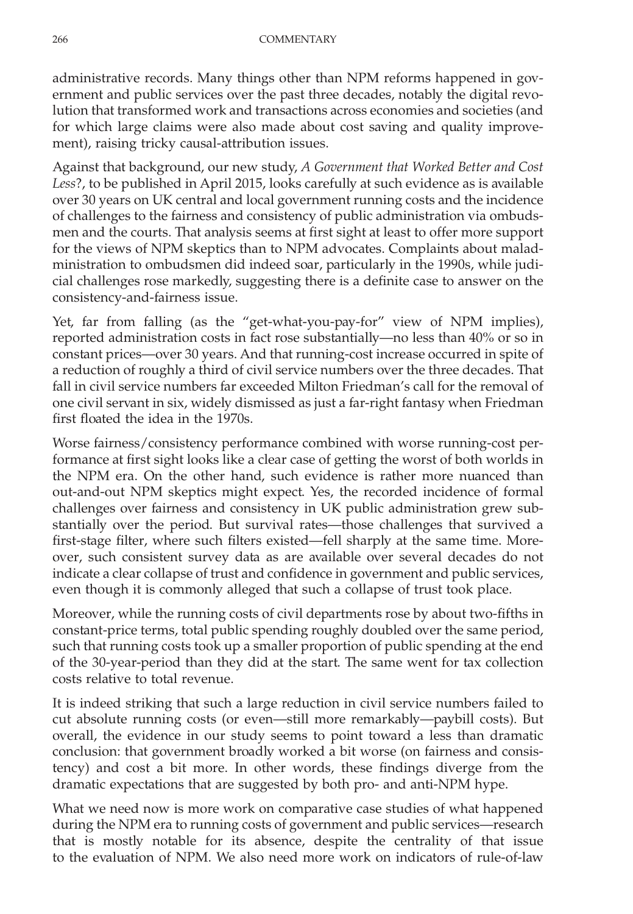administrative records. Many things other than NPM reforms happened in government and public services over the past three decades, notably the digital revolution that transformed work and transactions across economies and societies (and for which large claims were also made about cost saving and quality improvement), raising tricky causal-attribution issues.

Against that background, our new study, *A Government that Worked Better and Cost Less*?, to be published in April 2015, looks carefully at such evidence as is available over 30 years on UK central and local government running costs and the incidence of challenges to the fairness and consistency of public administration via ombudsmen and the courts. That analysis seems at first sight at least to offer more support for the views of NPM skeptics than to NPM advocates. Complaints about maladministration to ombudsmen did indeed soar, particularly in the 1990s, while judicial challenges rose markedly, suggesting there is a definite case to answer on the consistency-and-fairness issue.

Yet, far from falling (as the "get-what-you-pay-for" view of NPM implies), reported administration costs in fact rose substantially—no less than 40% or so in constant prices—over 30 years. And that running-cost increase occurred in spite of a reduction of roughly a third of civil service numbers over the three decades. That fall in civil service numbers far exceeded Milton Friedman's call for the removal of one civil servant in six, widely dismissed as just a far-right fantasy when Friedman first floated the idea in the 1970s.

Worse fairness/consistency performance combined with worse running-cost performance at first sight looks like a clear case of getting the worst of both worlds in the NPM era. On the other hand, such evidence is rather more nuanced than out-and-out NPM skeptics might expect. Yes, the recorded incidence of formal challenges over fairness and consistency in UK public administration grew substantially over the period. But survival rates—those challenges that survived a first-stage filter, where such filters existed—fell sharply at the same time. Moreover, such consistent survey data as are available over several decades do not indicate a clear collapse of trust and confidence in government and public services, even though it is commonly alleged that such a collapse of trust took place.

Moreover, while the running costs of civil departments rose by about two-fifths in constant-price terms, total public spending roughly doubled over the same period, such that running costs took up a smaller proportion of public spending at the end of the 30-year-period than they did at the start. The same went for tax collection costs relative to total revenue.

It is indeed striking that such a large reduction in civil service numbers failed to cut absolute running costs (or even—still more remarkably—paybill costs). But overall, the evidence in our study seems to point toward a less than dramatic conclusion: that government broadly worked a bit worse (on fairness and consistency) and cost a bit more. In other words, these findings diverge from the dramatic expectations that are suggested by both pro- and anti-NPM hype.

What we need now is more work on comparative case studies of what happened during the NPM era to running costs of government and public services—research that is mostly notable for its absence, despite the centrality of that issue to the evaluation of NPM. We also need more work on indicators of rule-of-law